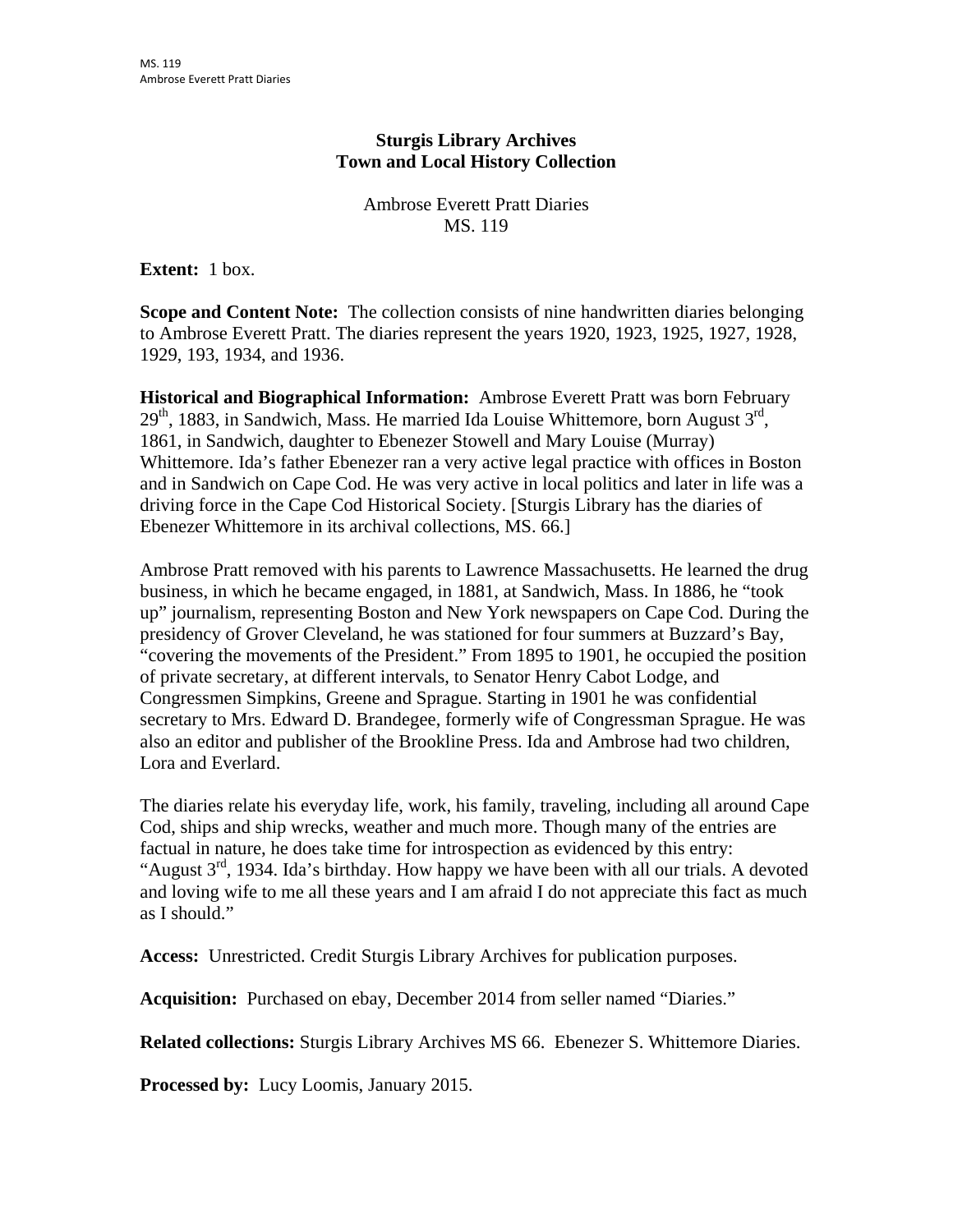## **Sturgis Library Archives Town and Local History Collection**

Ambrose Everett Pratt Diaries MS. 119

**Extent:** 1 box.

**Scope and Content Note:** The collection consists of nine handwritten diaries belonging to Ambrose Everett Pratt. The diaries represent the years 1920, 1923, 1925, 1927, 1928, 1929, 193, 1934, and 1936.

**Historical and Biographical Information:** Ambrose Everett Pratt was born February  $29<sup>th</sup>$ , 1883, in Sandwich, Mass. He married Ida Louise Whittemore, born August  $3<sup>rd</sup>$ , 1861, in Sandwich, daughter to Ebenezer Stowell and Mary Louise (Murray) Whittemore. Ida's father Ebenezer ran a very active legal practice with offices in Boston and in Sandwich on Cape Cod. He was very active in local politics and later in life was a driving force in the Cape Cod Historical Society. [Sturgis Library has the diaries of Ebenezer Whittemore in its archival collections, MS. 66.]

Ambrose Pratt removed with his parents to Lawrence Massachusetts. He learned the drug business, in which he became engaged, in 1881, at Sandwich, Mass. In 1886, he "took up" journalism, representing Boston and New York newspapers on Cape Cod. During the presidency of Grover Cleveland, he was stationed for four summers at Buzzard's Bay, "covering the movements of the President." From 1895 to 1901, he occupied the position of private secretary, at different intervals, to Senator Henry Cabot Lodge, and Congressmen Simpkins, Greene and Sprague. Starting in 1901 he was confidential secretary to Mrs. Edward D. Brandegee, formerly wife of Congressman Sprague. He was also an editor and publisher of the Brookline Press. Ida and Ambrose had two children, Lora and Everlard.

The diaries relate his everyday life, work, his family, traveling, including all around Cape Cod, ships and ship wrecks, weather and much more. Though many of the entries are factual in nature, he does take time for introspection as evidenced by this entry: "August  $3<sup>rd</sup>$ , 1934. Ida's birthday. How happy we have been with all our trials. A devoted and loving wife to me all these years and I am afraid I do not appreciate this fact as much as I should."

**Access:** Unrestricted. Credit Sturgis Library Archives for publication purposes.

**Acquisition:** Purchased on ebay, December 2014 from seller named "Diaries."

**Related collections:** Sturgis Library Archives MS 66. Ebenezer S. Whittemore Diaries.

**Processed by:** Lucy Loomis, January 2015.